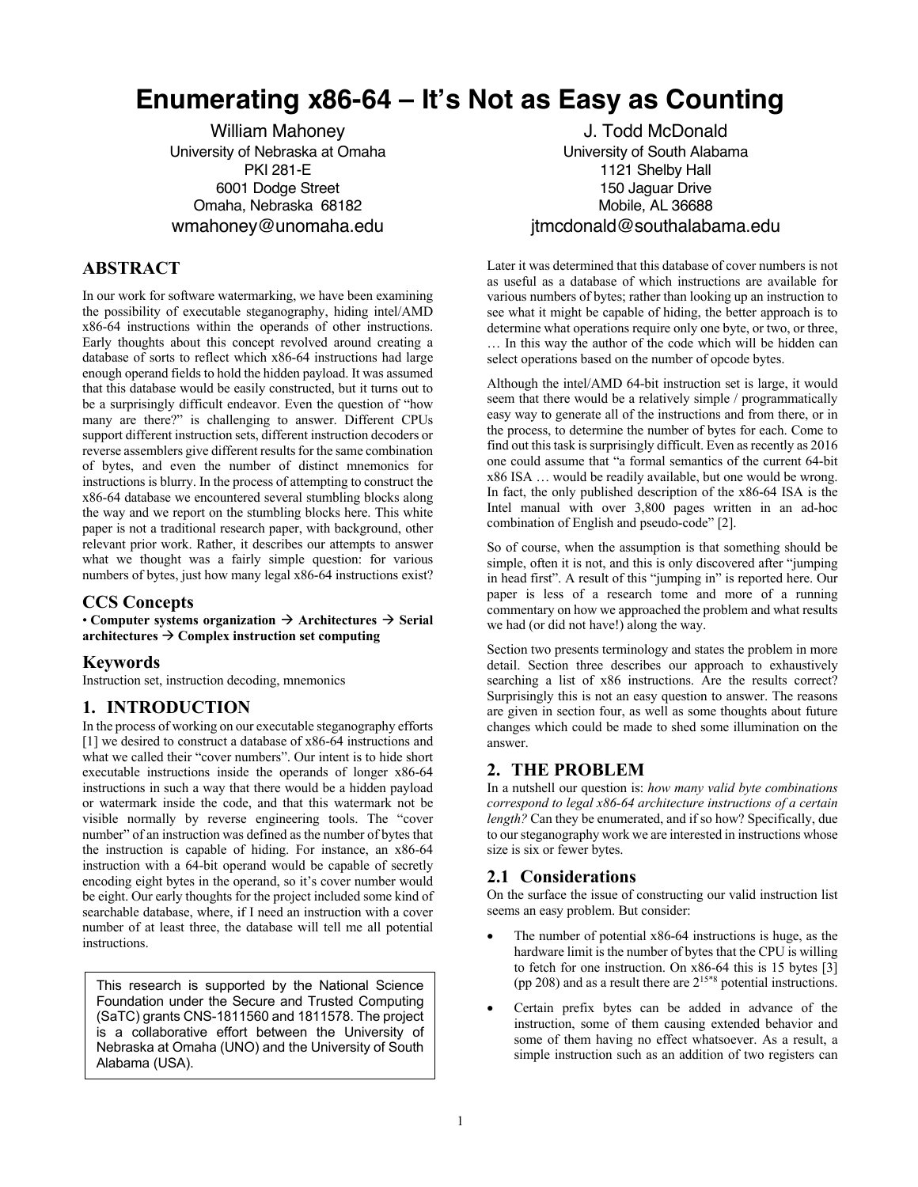# **Enumerating x86-64 – It's Not as Easy as Counting**

University of Nebraska at Omaha PKI 281-E 6001 Dodge Street Omaha, Nebraska 68182 wmahoney@unomaha.edu

# **ABSTRACT**

In our work for software watermarking, we have been examining the possibility of executable steganography, hiding intel/AMD x86-64 instructions within the operands of other instructions. Early thoughts about this concept revolved around creating a database of sorts to reflect which x86-64 instructions had large enough operand fields to hold the hidden payload. It was assumed that this database would be easily constructed, but it turns out to be a surprisingly difficult endeavor. Even the question of "how many are there?" is challenging to answer. Different CPUs support different instruction sets, different instruction decoders or reverse assemblers give different results for the same combination of bytes, and even the number of distinct mnemonics for instructions is blurry. In the process of attempting to construct the x86-64 database we encountered several stumbling blocks along the way and we report on the stumbling blocks here. This white paper is not a traditional research paper, with background, other relevant prior work. Rather, it describes our attempts to answer what we thought was a fairly simple question: for various numbers of bytes, just how many legal x86-64 instructions exist?

## **CCS Concepts**

• **Computer systems organization**  $\rightarrow$  **Architectures**  $\rightarrow$  **Serial** architectures  $\rightarrow$  Complex instruction set computing

## **Keywords**

Instruction set, instruction decoding, mnemonics

## **1. INTRODUCTION**

In the process of working on our executable steganography efforts [1] we desired to construct a database of x86-64 instructions and what we called their "cover numbers". Our intent is to hide short executable instructions inside the operands of longer x86-64 instructions in such a way that there would be a hidden payload or watermark inside the code, and that this watermark not be visible normally by reverse engineering tools. The "cover number" of an instruction was defined as the number of bytes that the instruction is capable of hiding. For instance, an x86-64 instruction with a 64-bit operand would be capable of secretly encoding eight bytes in the operand, so it's cover number would be eight. Our early thoughts for the project included some kind of searchable database, where, if I need an instruction with a cover number of at least three, the database will tell me all potential instructions.

This research is supported by the National Science Foundation under the Secure and Trusted Computing (SaTC) grants CNS-1811560 and 1811578. The project is a collaborative effort between the University of Nebraska at Omaha (UNO) and the University of South Alabama (USA).

William Mahoney **Mahoney** J. Todd McDonald University of South Alabama 1121 Shelby Hall 150 Jaguar Drive Mobile, AL 36688 jtmcdonald@southalabama.edu

> Later it was determined that this database of cover numbers is not as useful as a database of which instructions are available for various numbers of bytes; rather than looking up an instruction to see what it might be capable of hiding, the better approach is to determine what operations require only one byte, or two, or three, … In this way the author of the code which will be hidden can select operations based on the number of opcode bytes.

> Although the intel/AMD 64-bit instruction set is large, it would seem that there would be a relatively simple / programmatically easy way to generate all of the instructions and from there, or in the process, to determine the number of bytes for each. Come to find out this task is surprisingly difficult. Even as recently as 2016 one could assume that "a formal semantics of the current 64-bit x86 ISA … would be readily available, but one would be wrong. In fact, the only published description of the x86-64 ISA is the Intel manual with over 3,800 pages written in an ad-hoc combination of English and pseudo-code" [2].

> So of course, when the assumption is that something should be simple, often it is not, and this is only discovered after "jumping in head first". A result of this "jumping in" is reported here. Our paper is less of a research tome and more of a running commentary on how we approached the problem and what results we had (or did not have!) along the way.

> Section two presents terminology and states the problem in more detail. Section three describes our approach to exhaustively searching a list of x86 instructions. Are the results correct? Surprisingly this is not an easy question to answer. The reasons are given in section four, as well as some thoughts about future changes which could be made to shed some illumination on the answer.

# **2. THE PROBLEM**

In a nutshell our question is: *how many valid byte combinations correspond to legal x86-64 architecture instructions of a certain length?* Can they be enumerated, and if so how? Specifically, due to our steganography work we are interested in instructions whose size is six or fewer bytes.

## **2.1 Considerations**

On the surface the issue of constructing our valid instruction list seems an easy problem. But consider:

- The number of potential  $x86-64$  instructions is huge, as the hardware limit is the number of bytes that the CPU is willing to fetch for one instruction. On x86-64 this is 15 bytes [3] (pp 208) and as a result there are  $2^{15*8}$  potential instructions.
- Certain prefix bytes can be added in advance of the instruction, some of them causing extended behavior and some of them having no effect whatsoever. As a result, a simple instruction such as an addition of two registers can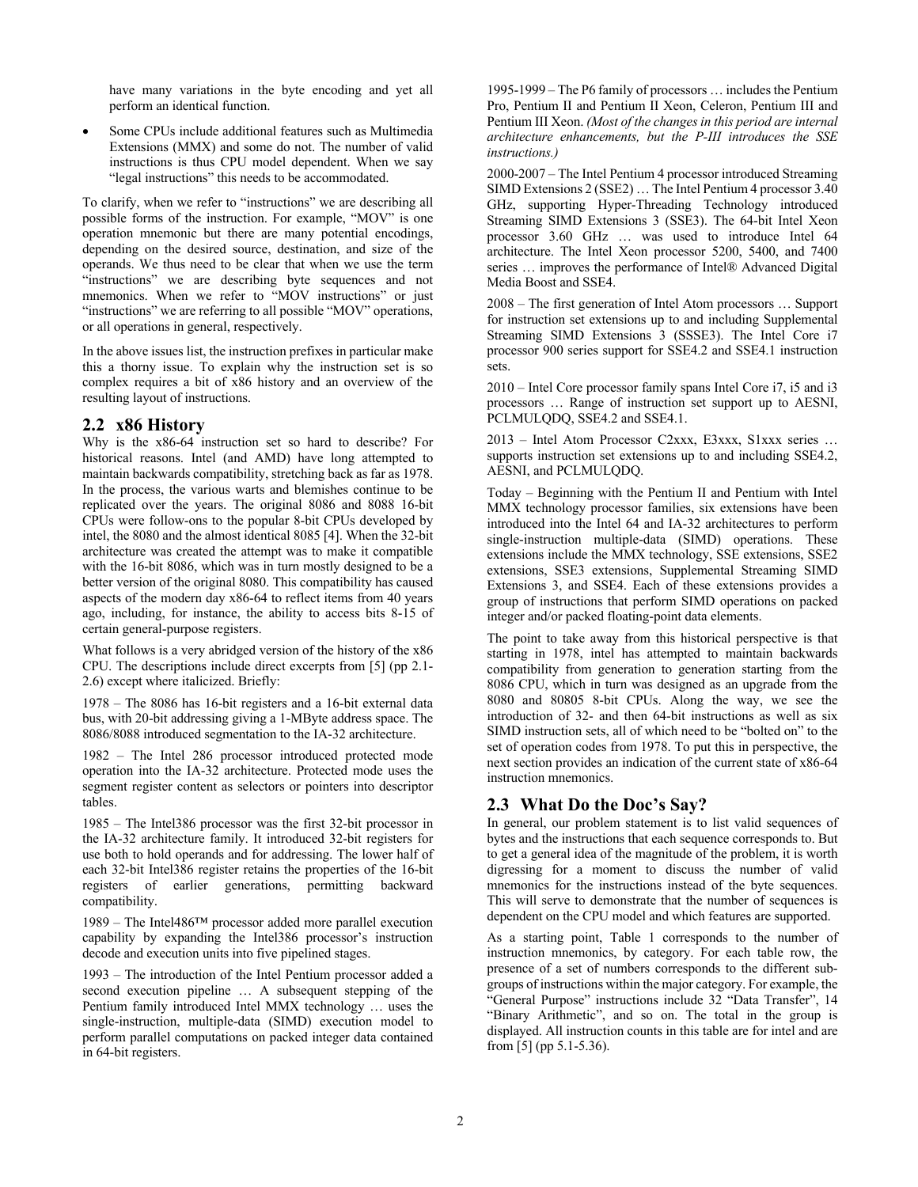have many variations in the byte encoding and yet all perform an identical function.

Some CPUs include additional features such as Multimedia Extensions (MMX) and some do not. The number of valid instructions is thus CPU model dependent. When we say "legal instructions" this needs to be accommodated.

To clarify, when we refer to "instructions" we are describing all possible forms of the instruction. For example, "MOV" is one operation mnemonic but there are many potential encodings, depending on the desired source, destination, and size of the operands. We thus need to be clear that when we use the term "instructions" we are describing byte sequences and not mnemonics. When we refer to "MOV instructions" or just "instructions" we are referring to all possible "MOV" operations, or all operations in general, respectively.

In the above issues list, the instruction prefixes in particular make this a thorny issue. To explain why the instruction set is so complex requires a bit of x86 history and an overview of the resulting layout of instructions.

#### **2.2 x86 History**

Why is the x86-64 instruction set so hard to describe? For historical reasons. Intel (and AMD) have long attempted to maintain backwards compatibility, stretching back as far as 1978. In the process, the various warts and blemishes continue to be replicated over the years. The original 8086 and 8088 16-bit CPUs were follow-ons to the popular 8-bit CPUs developed by intel, the 8080 and the almost identical 8085 [4]. When the 32-bit architecture was created the attempt was to make it compatible with the 16-bit 8086, which was in turn mostly designed to be a better version of the original 8080. This compatibility has caused aspects of the modern day x86-64 to reflect items from 40 years ago, including, for instance, the ability to access bits 8-15 of certain general-purpose registers.

What follows is a very abridged version of the history of the x86 CPU. The descriptions include direct excerpts from [5] (pp 2.1- 2.6) except where italicized. Briefly:

1978 – The 8086 has 16-bit registers and a 16-bit external data bus, with 20-bit addressing giving a 1-MByte address space. The 8086/8088 introduced segmentation to the IA-32 architecture.

1982 – The Intel 286 processor introduced protected mode operation into the IA-32 architecture. Protected mode uses the segment register content as selectors or pointers into descriptor tables.

1985 – The Intel386 processor was the first 32-bit processor in the IA-32 architecture family. It introduced 32-bit registers for use both to hold operands and for addressing. The lower half of each 32-bit Intel386 register retains the properties of the 16-bit registers of earlier generations, permitting backward compatibility.

1989 – The Intel486™ processor added more parallel execution capability by expanding the Intel386 processor's instruction decode and execution units into five pipelined stages.

1993 – The introduction of the Intel Pentium processor added a second execution pipeline … A subsequent stepping of the Pentium family introduced Intel MMX technology … uses the single-instruction, multiple-data (SIMD) execution model to perform parallel computations on packed integer data contained in 64-bit registers.

1995-1999 – The P6 family of processors … includes the Pentium Pro, Pentium II and Pentium II Xeon, Celeron, Pentium III and Pentium III Xeon. *(Most of the changes in this period are internal architecture enhancements, but the P-III introduces the SSE instructions.)*

2000-2007 – The Intel Pentium 4 processor introduced Streaming SIMD Extensions 2 (SSE2) … The Intel Pentium 4 processor 3.40 GHz, supporting Hyper-Threading Technology introduced Streaming SIMD Extensions 3 (SSE3). The 64-bit Intel Xeon processor 3.60 GHz ... was used to introduce Intel 64 architecture. The Intel Xeon processor 5200, 5400, and 7400 series … improves the performance of Intel® Advanced Digital Media Boost and SSE4.

2008 – The first generation of Intel Atom processors … Support for instruction set extensions up to and including Supplemental Streaming SIMD Extensions 3 (SSSE3). The Intel Core i7 processor 900 series support for SSE4.2 and SSE4.1 instruction sets.

2010 – Intel Core processor family spans Intel Core i7, i5 and i3 processors … Range of instruction set support up to AESNI, PCLMULQDQ, SSE4.2 and SSE4.1.

2013 – Intel Atom Processor C2xxx, E3xxx, S1xxx series … supports instruction set extensions up to and including SSE4.2, AESNI, and PCLMULQDQ.

Today – Beginning with the Pentium II and Pentium with Intel MMX technology processor families, six extensions have been introduced into the Intel 64 and IA-32 architectures to perform single-instruction multiple-data (SIMD) operations. These extensions include the MMX technology, SSE extensions, SSE2 extensions, SSE3 extensions, Supplemental Streaming SIMD Extensions 3, and SSE4. Each of these extensions provides a group of instructions that perform SIMD operations on packed integer and/or packed floating-point data elements.

The point to take away from this historical perspective is that starting in 1978, intel has attempted to maintain backwards compatibility from generation to generation starting from the 8086 CPU, which in turn was designed as an upgrade from the 8080 and 80805 8-bit CPUs. Along the way, we see the introduction of 32- and then 64-bit instructions as well as six SIMD instruction sets, all of which need to be "bolted on" to the set of operation codes from 1978. To put this in perspective, the next section provides an indication of the current state of x86-64 instruction mnemonics.

#### **2.3 What Do the Doc's Say?**

In general, our problem statement is to list valid sequences of bytes and the instructions that each sequence corresponds to. But to get a general idea of the magnitude of the problem, it is worth digressing for a moment to discuss the number of valid mnemonics for the instructions instead of the byte sequences. This will serve to demonstrate that the number of sequences is dependent on the CPU model and which features are supported.

As a starting point, Table 1 corresponds to the number of instruction mnemonics, by category. For each table row, the presence of a set of numbers corresponds to the different subgroups of instructions within the major category. For example, the "General Purpose" instructions include 32 "Data Transfer", 14 "Binary Arithmetic", and so on. The total in the group is displayed. All instruction counts in this table are for intel and are from [5] (pp 5.1-5.36).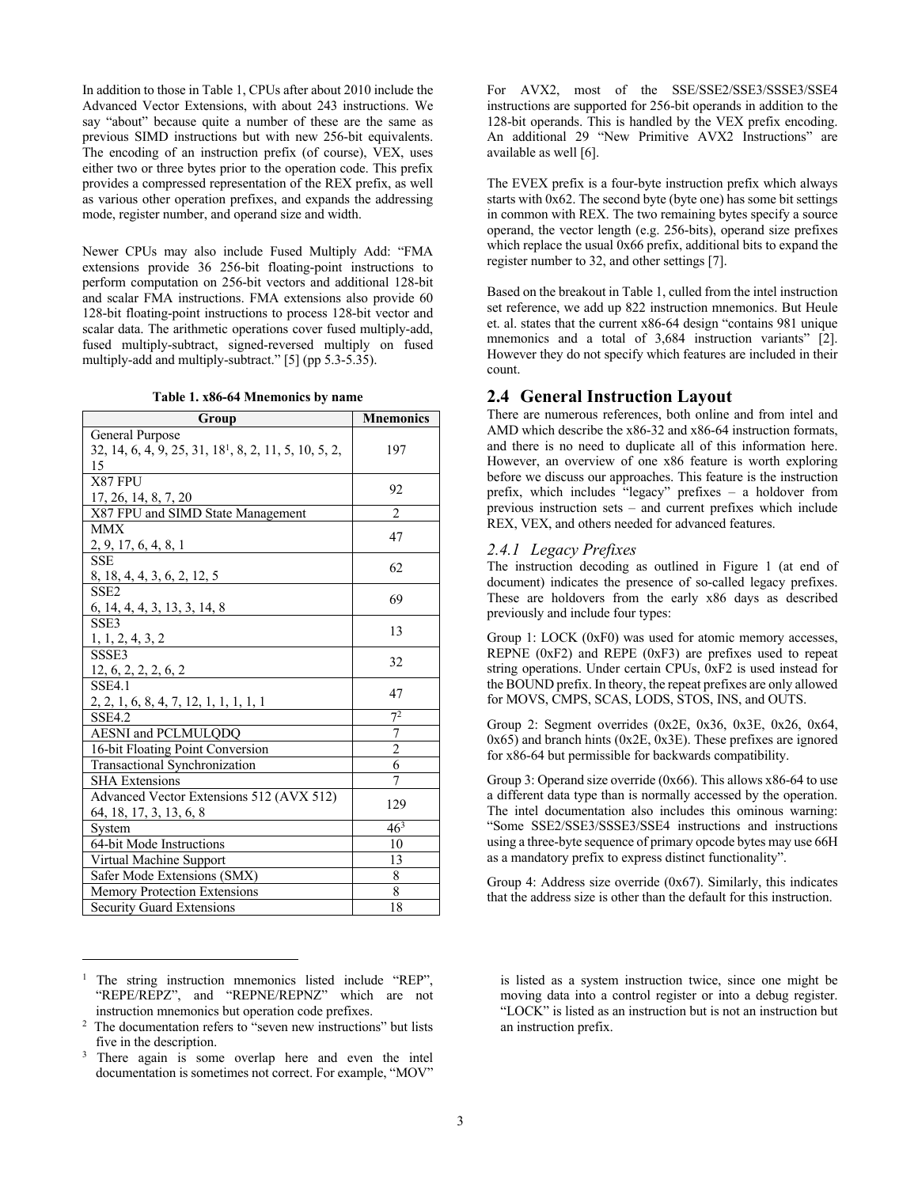In addition to those in Table 1, CPUs after about 2010 include the Advanced Vector Extensions, with about 243 instructions. We say "about" because quite a number of these are the same as previous SIMD instructions but with new 256-bit equivalents. The encoding of an instruction prefix (of course), VEX, uses either two or three bytes prior to the operation code. This prefix provides a compressed representation of the REX prefix, as well as various other operation prefixes, and expands the addressing mode, register number, and operand size and width.

Newer CPUs may also include Fused Multiply Add: "FMA extensions provide 36 256-bit floating-point instructions to perform computation on 256-bit vectors and additional 128-bit and scalar FMA instructions. FMA extensions also provide 60 128-bit floating-point instructions to process 128-bit vector and scalar data. The arithmetic operations cover fused multiply-add, fused multiply-subtract, signed-reversed multiply on fused multiply-add and multiply-subtract." [5] (pp 5.3-5.35).

**Table 1. x86-64 Mnemonics by name**

| Group                                                             | <b>Mnemonics</b> |
|-------------------------------------------------------------------|------------------|
| General Purpose                                                   |                  |
| 32, 14, 6, 4, 9, 25, 31, 18 <sup>1</sup> , 8, 2, 11, 5, 10, 5, 2, | 197              |
| 15                                                                |                  |
| X87 FPU                                                           |                  |
| 17, 26, 14, 8, 7, 20                                              | 92               |
| X87 FPU and SIMD State Management                                 | $\overline{2}$   |
| <b>MMX</b>                                                        |                  |
| 2, 9, 17, 6, 4, 8, 1                                              | 47               |
| <b>SSE</b>                                                        | 62               |
| 8, 18, 4, 4, 3, 6, 2, 12, 5                                       |                  |
| SSE <sub>2</sub>                                                  | 69               |
| 6, 14, 4, 4, 3, 13, 3, 14, 8                                      |                  |
| SSE3                                                              | 13               |
| 1, 1, 2, 4, 3, 2                                                  |                  |
| SSSE3                                                             | 32               |
| 12, 6, 2, 2, 2, 6, 2                                              |                  |
| <b>SSE4.1</b>                                                     | 47               |
| 2, 2, 1, 6, 8, 4, 7, 12, 1, 1, 1, 1, 1                            |                  |
| <b>SSE4.2</b>                                                     | 7 <sup>2</sup>   |
| AESNI and PCLMULQDQ                                               | $\overline{7}$   |
| 16-bit Floating Point Conversion                                  | $\overline{2}$   |
| Transactional Synchronization                                     | 6                |
| <b>SHA Extensions</b>                                             | 7                |
| Advanced Vector Extensions 512 (AVX 512)                          |                  |
| 64, 18, 17, 3, 13, 6, 8                                           | 129              |
| System                                                            | $46^{3}$         |
| 64-bit Mode Instructions                                          | 10               |
| Virtual Machine Support                                           | 13               |
| Safer Mode Extensions (SMX)                                       | 8                |
| <b>Memory Protection Extensions</b>                               | 8                |
| <b>Security Guard Extensions</b>                                  | 18               |

The string instruction mnemonics listed include "REP", "REPE/REPZ", and "REPNE/REPNZ" which are not instruction mnemonics but operation code prefixes.

For AVX2, most of the SSE/SSE2/SSE3/SSSE3/SSE4 instructions are supported for 256-bit operands in addition to the 128-bit operands. This is handled by the VEX prefix encoding. An additional 29 "New Primitive AVX2 Instructions" are available as well [6].

The EVEX prefix is a four-byte instruction prefix which always starts with 0x62. The second byte (byte one) has some bit settings in common with REX. The two remaining bytes specify a source operand, the vector length (e.g. 256-bits), operand size prefixes which replace the usual  $0x66$  prefix, additional bits to expand the register number to 32, and other settings [7].

Based on the breakout in Table 1, culled from the intel instruction set reference, we add up 822 instruction mnemonics. But Heule et. al. states that the current x86-64 design "contains 981 unique mnemonics and a total of 3,684 instruction variants" [2]. However they do not specify which features are included in their count.

#### **2.4 General Instruction Layout**

There are numerous references, both online and from intel and AMD which describe the x86-32 and x86-64 instruction formats, and there is no need to duplicate all of this information here. However, an overview of one x86 feature is worth exploring before we discuss our approaches. This feature is the instruction prefix, which includes "legacy" prefixes – a holdover from previous instruction sets – and current prefixes which include REX, VEX, and others needed for advanced features.

#### *2.4.1 Legacy Prefixes*

The instruction decoding as outlined in Figure 1 (at end of document) indicates the presence of so-called legacy prefixes. These are holdovers from the early x86 days as described previously and include four types:

Group 1: LOCK (0xF0) was used for atomic memory accesses, REPNE  $(0xF2)$  and REPE  $(0xF3)$  are prefixes used to repeat string operations. Under certain CPUs, 0xF2 is used instead for the BOUND prefix. In theory, the repeat prefixes are only allowed for MOVS, CMPS, SCAS, LODS, STOS, INS, and OUTS.

Group 2: Segment overrides (0x2E, 0x36, 0x3E, 0x26, 0x64, 0x65) and branch hints (0x2E, 0x3E). These prefixes are ignored for x86-64 but permissible for backwards compatibility.

Group 3: Operand size override (0x66). This allows x86-64 to use a different data type than is normally accessed by the operation. The intel documentation also includes this ominous warning: "Some SSE2/SSE3/SSSE3/SSE4 instructions and instructions using a three-byte sequence of primary opcode bytes may use 66H as a mandatory prefix to express distinct functionality".

Group 4: Address size override (0x67). Similarly, this indicates that the address size is other than the default for this instruction.

is listed as a system instruction twice, since one might be moving data into a control register or into a debug register. "LOCK" is listed as an instruction but is not an instruction but an instruction prefix.

 $2$  The documentation refers to "seven new instructions" but lists five in the description.

<sup>&</sup>lt;sup>3</sup> There again is some overlap here and even the intel documentation is sometimes not correct. For example, "MOV"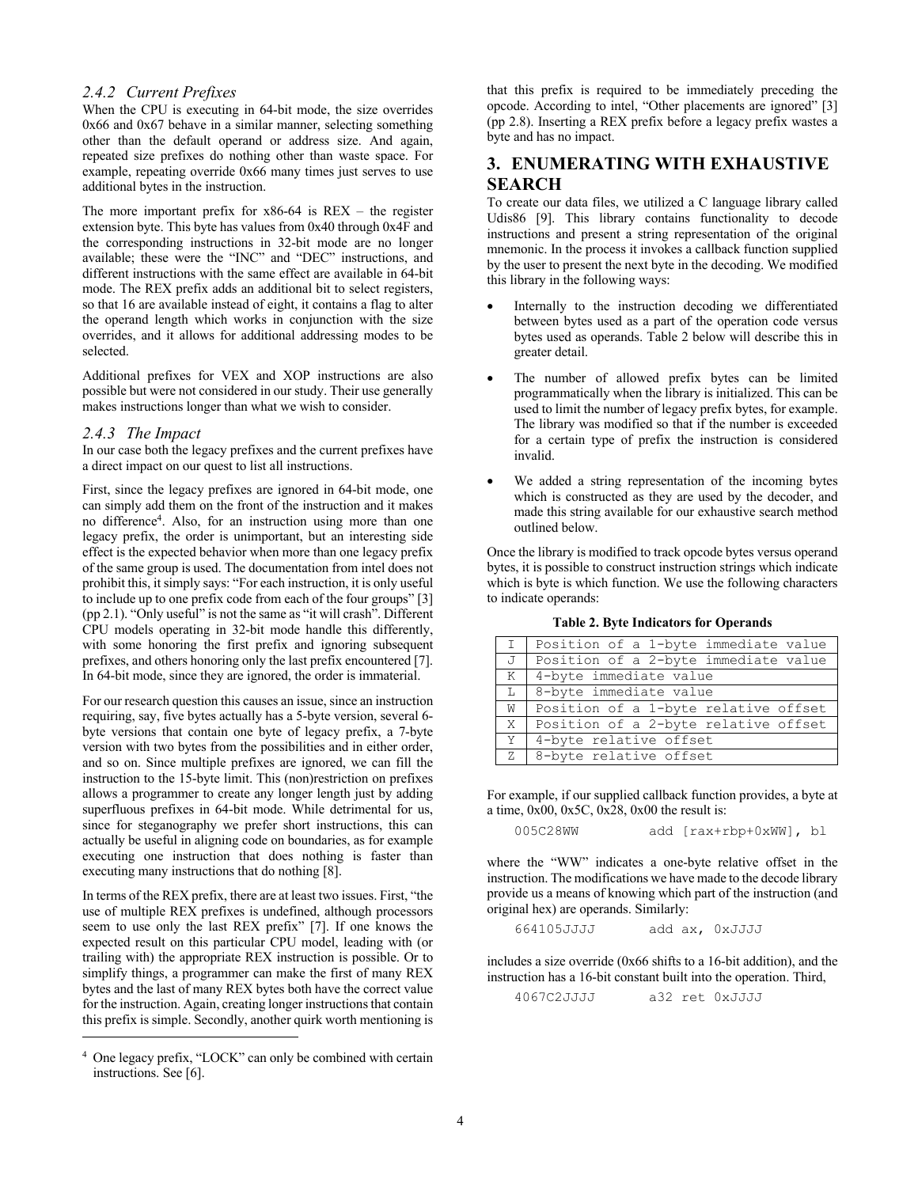#### *2.4.2 Current Prefixes*

When the CPU is executing in 64-bit mode, the size overrides 0x66 and 0x67 behave in a similar manner, selecting something other than the default operand or address size. And again, repeated size prefixes do nothing other than waste space. For example, repeating override 0x66 many times just serves to use additional bytes in the instruction.

The more important prefix for  $x86-64$  is  $REX -$  the register extension byte. This byte has values from 0x40 through 0x4F and the corresponding instructions in 32-bit mode are no longer available; these were the "INC" and "DEC" instructions, and different instructions with the same effect are available in 64-bit mode. The REX prefix adds an additional bit to select registers, so that 16 are available instead of eight, it contains a flag to alter the operand length which works in conjunction with the size overrides, and it allows for additional addressing modes to be selected.

Additional prefixes for VEX and XOP instructions are also possible but were not considered in our study. Their use generally makes instructions longer than what we wish to consider.

#### *2.4.3 The Impact*

In our case both the legacy prefixes and the current prefixes have a direct impact on our quest to list all instructions.

First, since the legacy prefixes are ignored in 64-bit mode, one can simply add them on the front of the instruction and it makes no difference4 . Also, for an instruction using more than one legacy prefix, the order is unimportant, but an interesting side effect is the expected behavior when more than one legacy prefix of the same group is used. The documentation from intel does not prohibit this, it simply says: "For each instruction, it is only useful to include up to one prefix code from each of the four groups" [3] (pp 2.1). "Only useful" is not the same as "it will crash". Different CPU models operating in 32-bit mode handle this differently, with some honoring the first prefix and ignoring subsequent prefixes, and others honoring only the last prefix encountered [7]. In 64-bit mode, since they are ignored, the order is immaterial.

For our research question this causes an issue, since an instruction requiring, say, five bytes actually has a 5-byte version, several 6 byte versions that contain one byte of legacy prefix, a 7-byte version with two bytes from the possibilities and in either order, and so on. Since multiple prefixes are ignored, we can fill the instruction to the 15-byte limit. This (non)restriction on prefixes allows a programmer to create any longer length just by adding superfluous prefixes in 64-bit mode. While detrimental for us, since for steganography we prefer short instructions, this can actually be useful in aligning code on boundaries, as for example executing one instruction that does nothing is faster than executing many instructions that do nothing [8].

In terms of the REX prefix, there are at least two issues. First, "the use of multiple REX prefixes is undefined, although processors seem to use only the last REX prefix" [7]. If one knows the expected result on this particular CPU model, leading with (or trailing with) the appropriate REX instruction is possible. Or to simplify things, a programmer can make the first of many REX bytes and the last of many REX bytes both have the correct value for the instruction. Again, creating longer instructions that contain this prefix is simple. Secondly, another quirk worth mentioning is

that this prefix is required to be immediately preceding the opcode. According to intel, "Other placements are ignored" [3] (pp 2.8). Inserting a REX prefix before a legacy prefix wastes a byte and has no impact.

## **3. ENUMERATING WITH EXHAUSTIVE SEARCH**

To create our data files, we utilized a C language library called Udis86 [9]. This library contains functionality to decode instructions and present a string representation of the original mnemonic. In the process it invokes a callback function supplied by the user to present the next byte in the decoding. We modified this library in the following ways:

- Internally to the instruction decoding we differentiated between bytes used as a part of the operation code versus bytes used as operands. Table 2 below will describe this in greater detail.
- The number of allowed prefix bytes can be limited programmatically when the library is initialized. This can be used to limit the number of legacy prefix bytes, for example. The library was modified so that if the number is exceeded for a certain type of prefix the instruction is considered invalid.
- We added a string representation of the incoming bytes which is constructed as they are used by the decoder, and made this string available for our exhaustive search method outlined below.

Once the library is modified to track opcode bytes versus operand bytes, it is possible to construct instruction strings which indicate which is byte is which function. We use the following characters to indicate operands:

| $\mathbb{I}$ | Position of a 1-byte immediate value |  |  |
|--------------|--------------------------------------|--|--|
| J            | Position of a 2-byte immediate value |  |  |
| K            | 4-byte immediate value               |  |  |
| L            | 8-byte immediate value               |  |  |
| W I          | Position of a 1-byte relative offset |  |  |
| X            | Position of a 2-byte relative offset |  |  |
| Y            | 4-byte relative offset               |  |  |
| Z            | 8-byte relative offset               |  |  |

**Table 2. Byte Indicators for Operands**

For example, if our supplied callback function provides, a byte at a time,  $0x00$ ,  $0x5C$ ,  $0x28$ ,  $0x00$  the result is:

```
005C28WW add [rax+rbp+0xWW], bl
```
where the "WW" indicates a one-byte relative offset in the instruction. The modifications we have made to the decode library provide us a means of knowing which part of the instruction (and original hex) are operands. Similarly:

664105JJJJ add ax, 0xJJJJ

includes a size override (0x66 shifts to a 16-bit addition), and the instruction has a 16-bit constant built into the operation. Third,

4067C2JJJJ a32 ret 0xJJJJ

<sup>4</sup> One legacy prefix, "LOCK" can only be combined with certain instructions. See [6].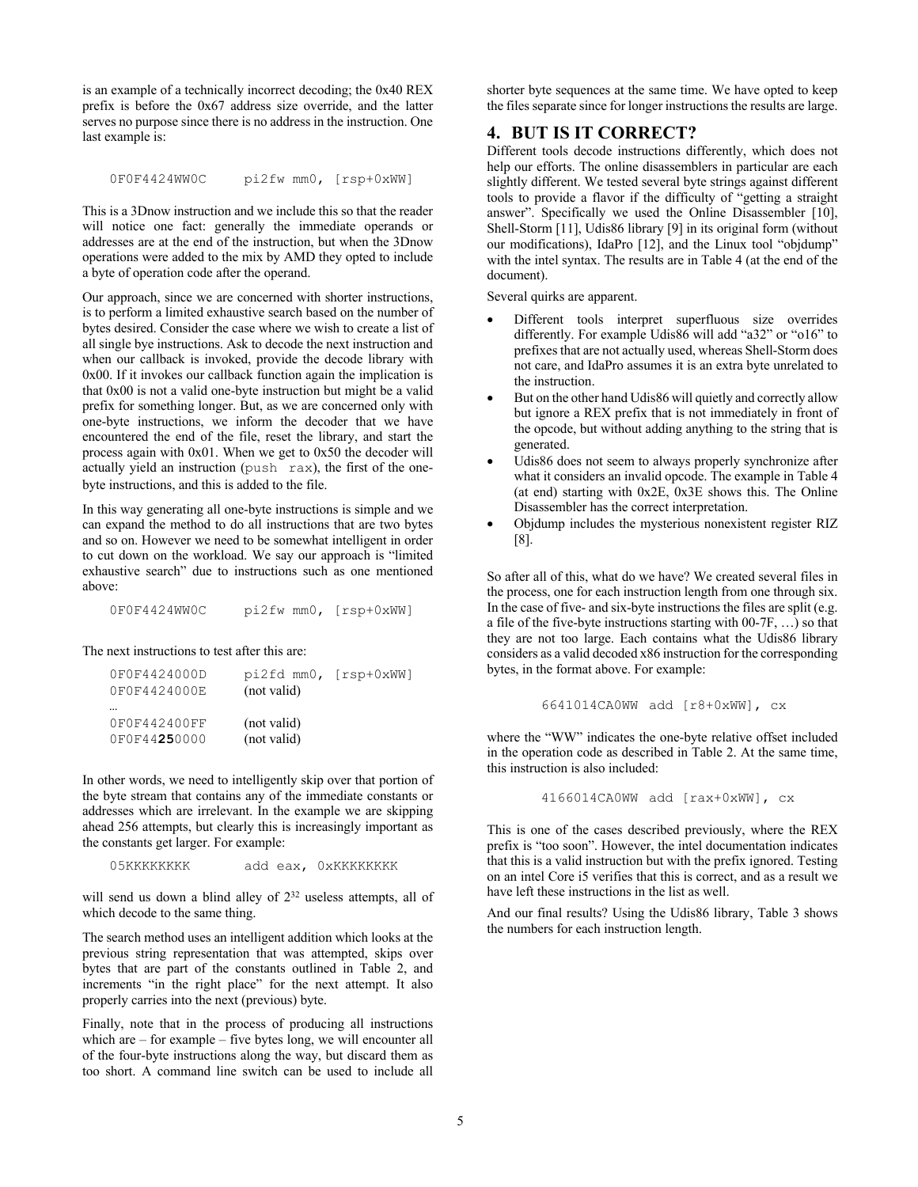is an example of a technically incorrect decoding; the 0x40 REX prefix is before the 0x67 address size override, and the latter serves no purpose since there is no address in the instruction. One last example is:

0F0F4424WW0C pi2fw mm0, [rsp+0xWW]

This is a 3Dnow instruction and we include this so that the reader will notice one fact: generally the immediate operands or addresses are at the end of the instruction, but when the 3Dnow operations were added to the mix by AMD they opted to include a byte of operation code after the operand.

Our approach, since we are concerned with shorter instructions, is to perform a limited exhaustive search based on the number of bytes desired. Consider the case where we wish to create a list of all single bye instructions. Ask to decode the next instruction and when our callback is invoked, provide the decode library with 0x00. If it invokes our callback function again the implication is that 0x00 is not a valid one-byte instruction but might be a valid prefix for something longer. But, as we are concerned only with one-byte instructions, we inform the decoder that we have encountered the end of the file, reset the library, and start the process again with 0x01. When we get to 0x50 the decoder will actually yield an instruction (push rax), the first of the onebyte instructions, and this is added to the file.

In this way generating all one-byte instructions is simple and we can expand the method to do all instructions that are two bytes and so on. However we need to be somewhat intelligent in order to cut down on the workload. We say our approach is "limited exhaustive search" due to instructions such as one mentioned above:

0F0F4424WW0C pi2fw mm0, [rsp+0xWW]

The next instructions to test after this are:

| 0F0F4424000D | pi2fd mm0, [rsp+0xWW] |  |
|--------------|-----------------------|--|
| 0F0F4424000E | (not valid)           |  |
|              |                       |  |
| 0F0F442400FF | (not valid)           |  |
| 0F0F44250000 | (not valid)           |  |

In other words, we need to intelligently skip over that portion of the byte stream that contains any of the immediate constants or addresses which are irrelevant. In the example we are skipping ahead 256 attempts, but clearly this is increasingly important as the constants get larger. For example:

05KKKKKKKK add eax, 0xKKKKKKKK

will send us down a blind alley of  $2^{32}$  useless attempts, all of which decode to the same thing.

The search method uses an intelligent addition which looks at the previous string representation that was attempted, skips over bytes that are part of the constants outlined in Table 2, and increments "in the right place" for the next attempt. It also properly carries into the next (previous) byte.

Finally, note that in the process of producing all instructions which are – for example – five bytes long, we will encounter all of the four-byte instructions along the way, but discard them as too short. A command line switch can be used to include all

shorter byte sequences at the same time. We have opted to keep the files separate since for longer instructions the results are large.

## **4. BUT IS IT CORRECT?**

Different tools decode instructions differently, which does not help our efforts. The online disassemblers in particular are each slightly different. We tested several byte strings against different tools to provide a flavor if the difficulty of "getting a straight answer". Specifically we used the Online Disassembler [10], Shell-Storm [11], Udis86 library [9] in its original form (without our modifications), IdaPro [12], and the Linux tool "objdump" with the intel syntax. The results are in Table 4 (at the end of the document).

Several quirks are apparent.

- Different tools interpret superfluous size overrides differently. For example Udis86 will add "a32" or "o16" to prefixes that are not actually used, whereas Shell-Storm does not care, and IdaPro assumes it is an extra byte unrelated to the instruction.
- But on the other hand Udis86 will quietly and correctly allow but ignore a REX prefix that is not immediately in front of the opcode, but without adding anything to the string that is generated.
- Udis86 does not seem to always properly synchronize after what it considers an invalid opcode. The example in Table 4 (at end) starting with  $0x2E$ ,  $0x3E$  shows this. The Online Disassembler has the correct interpretation.
- Objdump includes the mysterious nonexistent register RIZ [8].

So after all of this, what do we have? We created several files in the process, one for each instruction length from one through six. In the case of five- and six-byte instructions the files are split (e.g. a file of the five-byte instructions starting with 00-7F, …) so that they are not too large. Each contains what the Udis86 library considers as a valid decoded x86 instruction for the corresponding bytes, in the format above. For example:

6641014CA0WW add [r8+0xWW], cx

where the "WW" indicates the one-byte relative offset included in the operation code as described in Table 2. At the same time, this instruction is also included:

4166014CA0WW add [rax+0xWW], cx

This is one of the cases described previously, where the REX prefix is "too soon". However, the intel documentation indicates that this is a valid instruction but with the prefix ignored. Testing on an intel Core i5 verifies that this is correct, and as a result we have left these instructions in the list as well.

And our final results? Using the Udis86 library, Table 3 shows the numbers for each instruction length.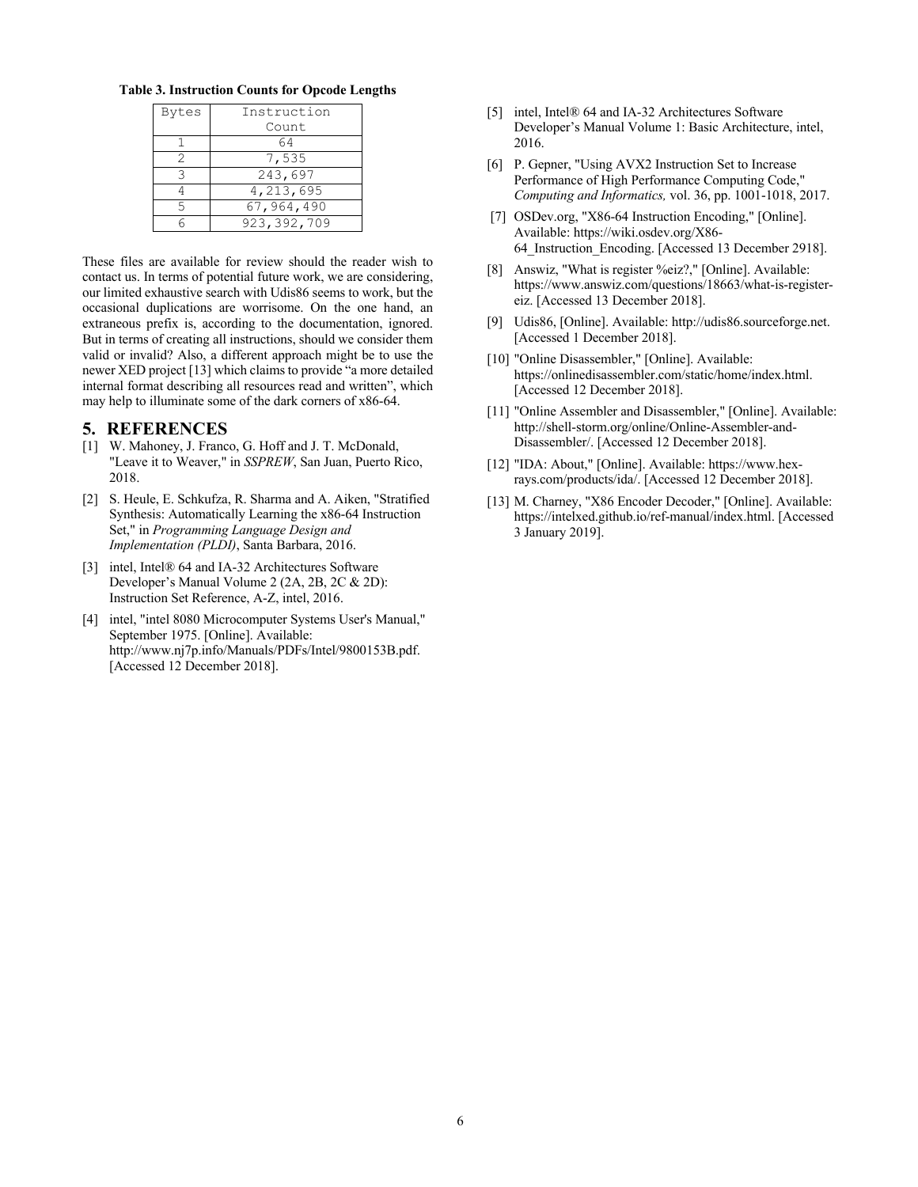**Table 3. Instruction Counts for Opcode Lengths**

| <b>Bytes</b> | Instruction   |  |
|--------------|---------------|--|
|              | Count         |  |
|              | 64            |  |
| 2            | 7,535         |  |
| ₹            | 243,697       |  |
|              | 4,213,695     |  |
| 5            | 67,964,490    |  |
|              | 923, 392, 709 |  |

These files are available for review should the reader wish to contact us. In terms of potential future work, we are considering, our limited exhaustive search with Udis86 seems to work, but the occasional duplications are worrisome. On the one hand, an extraneous prefix is, according to the documentation, ignored. But in terms of creating all instructions, should we consider them valid or invalid? Also, a different approach might be to use the newer XED project [13] which claims to provide "a more detailed internal format describing all resources read and written", which may help to illuminate some of the dark corners of x86-64.

#### **5. REFERENCES**

- [1] W. Mahoney, J. Franco, G. Hoff and J. T. McDonald, "Leave it to Weaver," in *SSPREW*, San Juan, Puerto Rico, 2018.
- [2] S. Heule, E. Schkufza, R. Sharma and A. Aiken, "Stratified Synthesis: Automatically Learning the x86-64 Instruction Set," in *Programming Language Design and Implementation (PLDI)*, Santa Barbara, 2016.
- [3] intel, Intel® 64 and IA-32 Architectures Software Developer's Manual Volume 2 (2A, 2B, 2C & 2D): Instruction Set Reference, A-Z, intel, 2016.
- [4] intel, "intel 8080 Microcomputer Systems User's Manual," September 1975. [Online]. Available: http://www.nj7p.info/Manuals/PDFs/Intel/9800153B.pdf. [Accessed 12 December 2018].
- [5] intel, Intel® 64 and IA-32 Architectures Software Developer's Manual Volume 1: Basic Architecture, intel, 2016.
- [6] P. Gepner, "Using AVX2 Instruction Set to Increase Performance of High Performance Computing Code," *Computing and Informatics,* vol. 36, pp. 1001-1018, 2017.
- [7] OSDev.org, "X86-64 Instruction Encoding," [Online]. Available: https://wiki.osdev.org/X86- 64\_Instruction\_Encoding. [Accessed 13 December 2918].
- [8] Answiz, "What is register %eiz?," [Online]. Available: https://www.answiz.com/questions/18663/what-is-registereiz. [Accessed 13 December 2018].
- [9] Udis86, [Online]. Available: http://udis86.sourceforge.net. [Accessed 1 December 2018].
- [10] "Online Disassembler," [Online]. Available: https://onlinedisassembler.com/static/home/index.html. [Accessed 12 December 2018].
- [11] "Online Assembler and Disassembler," [Online]. Available: http://shell-storm.org/online/Online-Assembler-and-Disassembler/. [Accessed 12 December 2018].
- [12] "IDA: About," [Online]. Available: https://www.hexrays.com/products/ida/. [Accessed 12 December 2018].
- [13] M. Charney, "X86 Encoder Decoder," [Online]. Available: https://intelxed.github.io/ref-manual/index.html. [Accessed 3 January 2019].